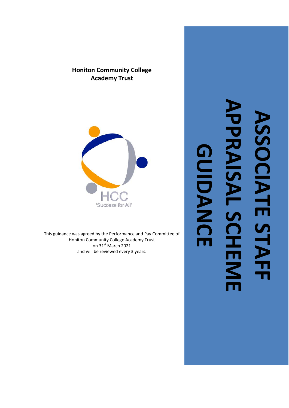# **APPRAISAL SCHEME APPRAIS ASSOCIATE STAFF**  ASSOCIATE STAI **GUIDANCEGUIDANCE** Π SCHEM M

# **Honiton Community College Academy Trust**



This guidance was agreed by the Performance and Pay Committee of Honiton Community College Academy Trust on 31st March 2021 and will be reviewed every 3 years.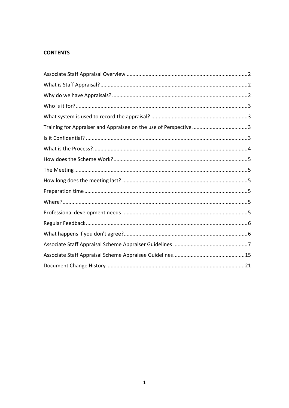## **CONTENTS**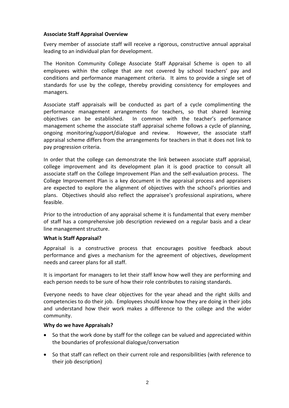#### <span id="page-2-0"></span>**Associate Staff Appraisal Overview**

Every member of associate staff will receive a rigorous, constructive annual appraisal leading to an individual plan for development.

The Honiton Community College Associate Staff Appraisal Scheme is open to all employees within the college that are not covered by school teachers' pay and conditions and performance management criteria. It aims to provide a single set of standards for use by the college, thereby providing consistency for employees and managers.

Associate staff appraisals will be conducted as part of a cycle complimenting the performance management arrangements for teachers, so that shared learning objectives can be established. In common with the teacher's performance management scheme the associate staff appraisal scheme follows a cycle of planning, ongoing monitoring/support/dialogue and review. However, the associate staff appraisal scheme differs from the arrangements for teachers in that it does not link to pay progression criteria.

In order that the college can demonstrate the link between associate staff appraisal, college improvement and its development plan it is good practice to consult all associate staff on the College Improvement Plan and the self-evaluation process. The College Improvement Plan is a key document in the appraisal process and appraisers are expected to explore the alignment of objectives with the school's priorities and plans. Objectives should also reflect the appraisee's professional aspirations, where feasible.

Prior to the introduction of any appraisal scheme it is fundamental that every member of staff has a comprehensive job description reviewed on a regular basis and a clear line management structure.

#### <span id="page-2-1"></span>**What is Staff Appraisal?**

Appraisal is a constructive process that encourages positive feedback about performance and gives a mechanism for the agreement of objectives, development needs and career plans for all staff.

It is important for managers to let their staff know how well they are performing and each person needs to be sure of how their role contributes to raising standards.

Everyone needs to have clear objectives for the year ahead and the right skills and competencies to do their job. Employees should know how they are doing in their jobs and understand how their work makes a difference to the college and the wider community.

#### <span id="page-2-2"></span>**Why do we have Appraisals?**

- So that the work done by staff for the college can be valued and appreciated within the boundaries of professional dialogue/conversation
- So that staff can reflect on their current role and responsibilities (with reference to their job description)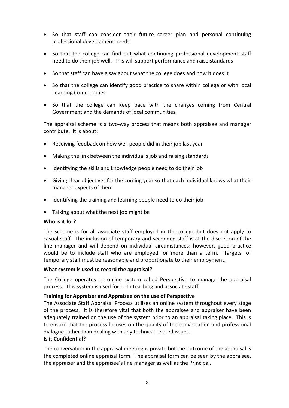- So that staff can consider their future career plan and personal continuing professional development needs
- So that the college can find out what continuing professional development staff need to do their job well. This will support performance and raise standards
- So that staff can have a say about what the college does and how it does it
- So that the college can identify good practice to share within college or with local Learning Communities
- So that the college can keep pace with the changes coming from Central Government and the demands of local communities

The appraisal scheme is a two-way process that means both appraisee and manager contribute. It is about:

- Receiving feedback on how well people did in their job last year
- Making the link between the individual's job and raising standards
- Identifying the skills and knowledge people need to do their job
- Giving clear objectives for the coming year so that each individual knows what their manager expects of them
- Identifying the training and learning people need to do their job
- Talking about what the next job might be

#### <span id="page-3-0"></span>**Who is it for?**

The scheme is for all associate staff employed in the college but does not apply to casual staff. The inclusion of temporary and seconded staff is at the discretion of the line manager and will depend on individual circumstances; however, good practice would be to include staff who are employed for more than a term. Targets for temporary staff must be reasonable and proportionate to their employment.

#### <span id="page-3-1"></span>**What system is used to record the appraisal?**

The College operates on online system called Perspective to manage the appraisal process. This system is used for both teaching and associate staff.

#### <span id="page-3-2"></span>**Training for Appraiser and Appraisee on the use of Perspective**

The Associate Staff Appraisal Process utilises an online system throughout every stage of the process. It is therefore vital that both the appraisee and appraiser have been adequately trained on the use of the system prior to an appraisal taking place. This is to ensure that the process focuses on the quality of the conversation and professional dialogue rather than dealing with any technical related issues.

#### <span id="page-3-3"></span>**Is it Confidential?**

The conversation in the appraisal meeting is private but the outcome of the appraisal is the completed online appraisal form. The appraisal form can be seen by the appraisee, the appraiser and the appraisee's line manager as well as the Principal.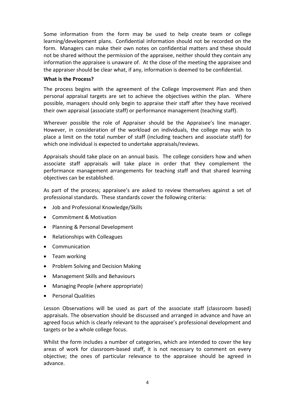Some information from the form may be used to help create team or college learning/development plans. Confidential information should not be recorded on the form. Managers can make their own notes on confidential matters and these should not be shared without the permission of the appraisee, neither should they contain any information the appraisee is unaware of. At the close of the meeting the appraisee and the appraiser should be clear what, if any, information is deemed to be confidential.

#### <span id="page-4-0"></span>**What is the Process?**

The process begins with the agreement of the College Improvement Plan and then personal appraisal targets are set to achieve the objectives within the plan. Where possible, managers should only begin to appraise their staff after they have received their own appraisal (associate staff) or performance management (teaching staff).

Wherever possible the role of Appraiser should be the Appraisee's line manager. However, in consideration of the workload on individuals, the college may wish to place a limit on the total number of staff (including teachers and associate staff) for which one individual is expected to undertake appraisals/reviews.

Appraisals should take place on an annual basis. The college considers how and when associate staff appraisals will take place in order that they complement the performance management arrangements for teaching staff and that shared learning objectives can be established.

As part of the process; appraisee's are asked to review themselves against a set of professional standards. These standards cover the following criteria:

- Job and Professional Knowledge/Skills
- Commitment & Motivation
- Planning & Personal Development
- Relationships with Colleagues
- Communication
- Team working
- Problem Solving and Decision Making
- Management Skills and Behaviours
- Managing People (where appropriate)
- Personal Qualities

Lesson Observations will be used as part of the associate staff (classroom based) appraisals. The observation should be discussed and arranged in advance and have an agreed focus which is clearly relevant to the appraisee's professional development and targets or be a whole college focus.

Whilst the form includes a number of categories, which are intended to cover the key areas of work for classroom-based staff, it is not necessary to comment on every objective; the ones of particular relevance to the appraisee should be agreed in advance.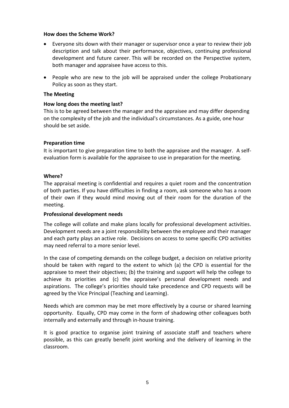#### <span id="page-5-0"></span>**How does the Scheme Work?**

- Everyone sits down with their manager or supervisor once a year to review their job description and talk about their performance, objectives, continuing professional development and future career. This will be recorded on the Perspective system, both manager and appraisee have access to this.
- People who are new to the job will be appraised under the college Probationary Policy as soon as they start.

#### <span id="page-5-1"></span>**The Meeting**

#### <span id="page-5-2"></span>**How long does the meeting last?**

This is to be agreed between the manager and the appraisee and may differ depending on the complexity of the job and the individual's circumstances. As a guide, one hour should be set aside.

## <span id="page-5-3"></span>**Preparation time**

It is important to give preparation time to both the appraisee and the manager. A selfevaluation form is available for the appraisee to use in preparation for the meeting.

#### <span id="page-5-4"></span>**Where?**

The appraisal meeting is confidential and requires a quiet room and the concentration of both parties. If you have difficulties in finding a room, ask someone who has a room of their own if they would mind moving out of their room for the duration of the meeting.

#### <span id="page-5-5"></span>**Professional development needs**

The college will collate and make plans locally for professional development activities. Development needs are a joint responsibility between the employee and their manager and each party plays an active role. Decisions on access to some specific CPD activities may need referral to a more senior level.

In the case of competing demands on the college budget, a decision on relative priority should be taken with regard to the extent to which (a) the CPD is essential for the appraisee to meet their objectives; (b) the training and support will help the college to achieve its priorities and (c) the appraisee's personal development needs and aspirations. The college's priorities should take precedence and CPD requests will be agreed by the Vice Principal (Teaching and Learning).

Needs which are common may be met more effectively by a course or shared learning opportunity. Equally, CPD may come in the form of shadowing other colleagues both internally and externally and through in-house training.

It is good practice to organise joint training of associate staff and teachers where possible, as this can greatly benefit joint working and the delivery of learning in the classroom.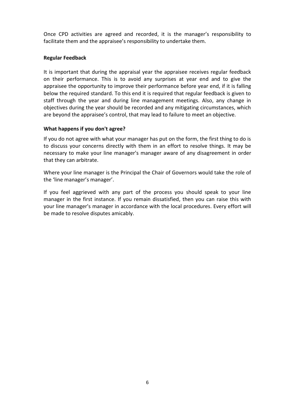Once CPD activities are agreed and recorded, it is the manager's responsibility to facilitate them and the appraisee's responsibility to undertake them.

#### <span id="page-6-0"></span>**Regular Feedback**

It is important that during the appraisal year the appraisee receives regular feedback on their performance. This is to avoid any surprises at year end and to give the appraisee the opportunity to improve their performance before year end, if it is falling below the required standard. To this end it is required that regular feedback is given to staff through the year and during line management meetings. Also, any change in objectives during the year should be recorded and any mitigating circumstances, which are beyond the appraisee's control, that may lead to failure to meet an objective.

#### <span id="page-6-1"></span>**What happens if you don't agree?**

If you do not agree with what your manager has put on the form, the first thing to do is to discuss your concerns directly with them in an effort to resolve things. It may be necessary to make your line manager's manager aware of any disagreement in order that they can arbitrate.

Where your line manager is the Principal the Chair of Governors would take the role of the 'line manager's manager'.

If you feel aggrieved with any part of the process you should speak to your line manager in the first instance. If you remain dissatisfied, then you can raise this with your line manager's manager in accordance with the local procedures. Every effort will be made to resolve disputes amicably.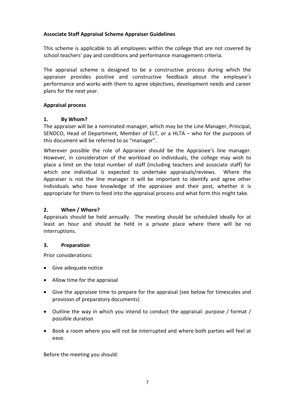## <span id="page-7-0"></span>**Associate Staff Appraisal Scheme Appraiser Guidelines**

This scheme is applicable to all employees within the college that are not covered by school teachers' pay and conditions and performance management criteria.

The appraisal scheme is designed to be a constructive process during which the appraiser provides positive and constructive feedback about the employee's performance and works with them to agree objectives, development needs and career plans for the next year.

#### **Appraisal process**

#### **1. By Whom?**

The appraiser will be a nominated manager, which may be the Line Manager, Principal, SENDCO, Head of Department, Member of ELT, or a HLTA – who for the purposes of this document will be referred to as "manager".

Wherever possible the role of Appraiser should be the Appraisee's line manager. However, in consideration of the workload on individuals, the college may wish to place a limit on the total number of staff (including teachers and associate staff) for which one individual is expected to undertake appraisals/reviews. Where the Appraiser is not the line manager it will be important to identify and agree other individuals who have knowledge of the appraisee and their post, whether it is appropriate for them to feed into the appraisal process and what form this might take.

## **2. When / Where?**

Appraisals should be held annually. The meeting should be scheduled ideally for at least an hour and should be held in a private place where there will be no interruptions.

#### **3. Preparation**

Prior considerations:

- Give adequate notice
- Allow time for the appraisal
- Give the appraisee time to prepare for the appraisal (see below for timescales and provision of preparatory documents)
- Outline the way in which you intend to conduct the appraisal: purpose / format / possible duration
- Book a room where you will not be interrupted and where both parties will feel at ease.

Before the meeting you should: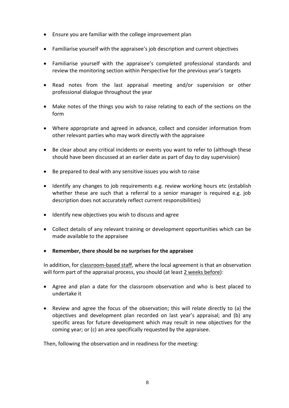- Ensure you are familiar with the college improvement plan
- Familiarise yourself with the appraisee's job description and current objectives
- Familiarise yourself with the appraisee's completed professional standards and review the monitoring section within Perspective for the previous year's targets
- Read notes from the last appraisal meeting and/or supervision or other professional dialogue throughout the year
- Make notes of the things you wish to raise relating to each of the sections on the form
- Where appropriate and agreed in advance, collect and consider information from other relevant parties who may work directly with the appraisee
- Be clear about any critical incidents or events you want to refer to (although these should have been discussed at an earlier date as part of day to day supervision)
- Be prepared to deal with any sensitive issues you wish to raise
- Identify any changes to job requirements e.g. review working hours etc (establish whether these are such that a referral to a senior manager is required e.g. job description does not accurately reflect current responsibilities)
- Identify new objectives you wish to discuss and agree
- Collect details of any relevant training or development opportunities which can be made available to the appraisee
- **Remember, there should be no surprises for the appraisee**

In addition, for classroom-based staff, where the local agreement is that an observation will form part of the appraisal process, you should (at least 2 weeks before):

- Agree and plan a date for the classroom observation and who is best placed to undertake it
- Review and agree the focus of the observation; this will relate directly to (a) the objectives and development plan recorded on last year's appraisal; and (b) any specific areas for future development which may result in new objectives for the coming year; or (c) an area specifically requested by the appraisee.

Then, following the observation and in readiness for the meeting: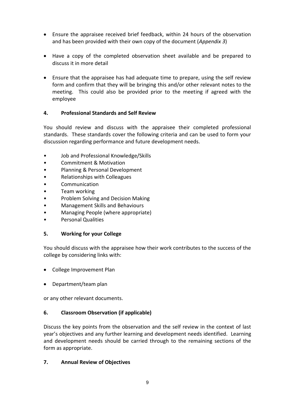- Ensure the appraisee received brief feedback, within 24 hours of the observation and has been provided with their own copy of the document (*Appendix 3*)
- Have a copy of the completed observation sheet available and be prepared to discuss it in more detail
- Ensure that the appraisee has had adequate time to prepare, using the self review form and confirm that they will be bringing this and/or other relevant notes to the meeting. This could also be provided prior to the meeting if agreed with the employee

## **4. Professional Standards and Self Review**

You should review and discuss with the appraisee their completed professional standards. These standards cover the following criteria and can be used to form your discussion regarding performance and future development needs.

- Job and Professional Knowledge/Skills
- Commitment & Motivation
- Planning & Personal Development
- Relationships with Colleagues
- Communication
- Team working
- Problem Solving and Decision Making
- Management Skills and Behaviours
- Managing People (where appropriate)
- Personal Qualities

## **5. Working for your College**

You should discuss with the appraisee how their work contributes to the success of the college by considering links with:

- College Improvement Plan
- Department/team plan

or any other relevant documents.

## **6. Classroom Observation (if applicable)**

Discuss the key points from the observation and the self review in the context of last year's objectives and any further learning and development needs identified. Learning and development needs should be carried through to the remaining sections of the form as appropriate.

## **7. Annual Review of Objectives**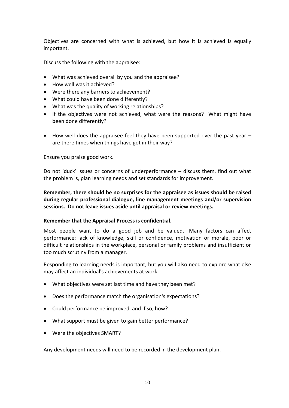Objectives are concerned with what is achieved, but how it is achieved is equally important.

Discuss the following with the appraisee:

- What was achieved overall by you and the appraisee?
- How well was it achieved?
- Were there any barriers to achievement?
- What could have been done differently?
- What was the quality of working relationships?
- If the objectives were not achieved, what were the reasons? What might have been done differently?
- How well does the appraisee feel they have been supported over the past year are there times when things have got in their way?

Ensure you praise good work.

Do not 'duck' issues or concerns of underperformance – discuss them, find out what the problem is, plan learning needs and set standards for improvement.

**Remember, there should be no surprises for the appraisee as issues should be raised during regular professional dialogue, line management meetings and/or supervision sessions. Do not leave issues aside until appraisal or review meetings.**

#### **Remember that the Appraisal Process is confidential.**

Most people want to do a good job and be valued. Many factors can affect performance: lack of knowledge, skill or confidence, motivation or morale, poor or difficult relationships in the workplace, personal or family problems and insufficient or too much scrutiny from a manager.

Responding to learning needs is important, but you will also need to explore what else may affect an individual's achievements at work.

- What objectives were set last time and have they been met?
- Does the performance match the organisation's expectations?
- Could performance be improved, and if so, how?
- What support must be given to gain better performance?
- Were the objectives SMART?

Any development needs will need to be recorded in the development plan.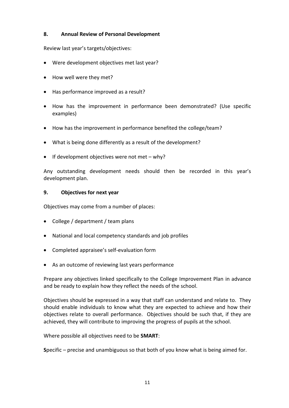## **8. Annual Review of Personal Development**

Review last year's targets/objectives:

- Were development objectives met last year?
- How well were they met?
- Has performance improved as a result?
- How has the improvement in performance been demonstrated? (Use specific examples)
- How has the improvement in performance benefited the college/team?
- What is being done differently as a result of the development?
- If development objectives were not met why?

Any outstanding development needs should then be recorded in this year's development plan.

#### **9. Objectives for next year**

Objectives may come from a number of places:

- College / department / team plans
- National and local competency standards and job profiles
- Completed appraisee's self-evaluation form
- As an outcome of reviewing last years performance

Prepare any objectives linked specifically to the College Improvement Plan in advance and be ready to explain how they reflect the needs of the school.

Objectives should be expressed in a way that staff can understand and relate to. They should enable individuals to know what they are expected to achieve and how their objectives relate to overall performance. Objectives should be such that, if they are achieved, they will contribute to improving the progress of pupils at the school.

Where possible all objectives need to be **SMART**:

**S**pecific – precise and unambiguous so that both of you know what is being aimed for.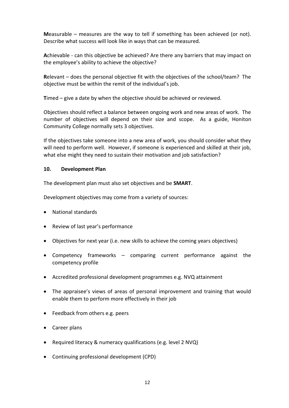**M**easurable – measures are the way to tell if something has been achieved (or not). Describe what success will look like in ways that can be measured.

**A**chievable - can this objective be achieved? Are there any barriers that may impact on the employee's ability to achieve the objective?

**R**elevant – does the personal objective fit with the objectives of the school/team? The objective must be within the remit of the individual's job.

**T**imed – give a date by when the objective should be achieved or reviewed.

Objectives should reflect a balance between ongoing work and new areas of work. The number of objectives will depend on their size and scope. As a guide, Honiton Community College normally sets 3 objectives.

If the objectives take someone into a new area of work, you should consider what they will need to perform well. However, if someone is experienced and skilled at their job, what else might they need to sustain their motivation and job satisfaction?

#### **10. Development Plan**

The development plan must also set objectives and be **SMART**.

Development objectives may come from a variety of sources:

- National standards
- Review of last year's performance
- Objectives for next year (i.e. new skills to achieve the coming years objectives)
- Competency frameworks comparing current performance against the competency profile
- Accredited professional development programmes e.g. NVQ attainment
- The appraisee's views of areas of personal improvement and training that would enable them to perform more effectively in their job
- Feedback from others e.g. peers
- Career plans
- Required literacy & numeracy qualifications (e.g. level 2 NVQ)
- Continuing professional development (CPD)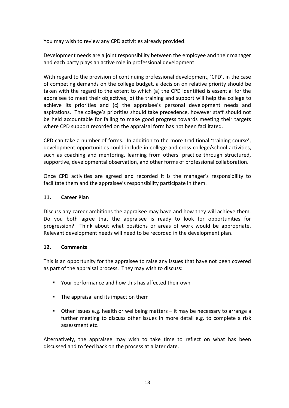You may wish to review any CPD activities already provided.

Development needs are a joint responsibility between the employee and their manager and each party plays an active role in professional development.

With regard to the provision of continuing professional development, 'CPD', in the case of competing demands on the college budget, a decision on relative priority should be taken with the regard to the extent to which (a) the CPD identified is essential for the appraisee to meet their objectives; b) the training and support will help the college to achieve its priorities and (c) the appraisee's personal development needs and aspirations. The college's priorities should take precedence, however staff should not be held accountable for failing to make good progress towards meeting their targets where CPD support recorded on the appraisal form has not been facilitated.

CPD can take a number of forms. In addition to the more traditional 'training course', development opportunities could include in-college and cross-college/school activities, such as coaching and mentoring, learning from others' practice through structured, supportive, developmental observation, and other forms of professional collaboration.

Once CPD activities are agreed and recorded it is the manager's responsibility to facilitate them and the appraisee's responsibility participate in them.

#### **11. Career Plan**

Discuss any career ambitions the appraisee may have and how they will achieve them. Do you both agree that the appraisee is ready to look for opportunities for progression? Think about what positions or areas of work would be appropriate. Relevant development needs will need to be recorded in the development plan.

#### **12. Comments**

This is an opportunity for the appraisee to raise any issues that have not been covered as part of the appraisal process. They may wish to discuss:

- Your performance and how this has affected their own
- The appraisal and its impact on them
- Other issues e.g. health or wellbeing matters it may be necessary to arrange a further meeting to discuss other issues in more detail e.g. to complete a risk assessment etc.

Alternatively, the appraisee may wish to take time to reflect on what has been discussed and to feed back on the process at a later date.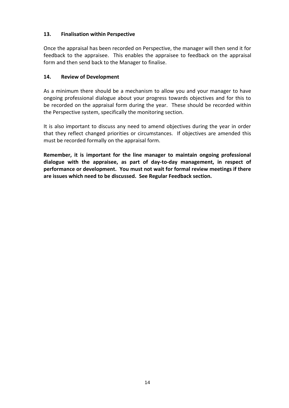## **13. Finalisation within Perspective**

Once the appraisal has been recorded on Perspective, the manager will then send it for feedback to the appraisee. This enables the appraisee to feedback on the appraisal form and then send back to the Manager to finalise.

## **14. Review of Development**

As a minimum there should be a mechanism to allow you and your manager to have ongoing professional dialogue about your progress towards objectives and for this to be recorded on the appraisal form during the year. These should be recorded within the Perspective system, specifically the monitoring section.

It is also important to discuss any need to amend objectives during the year in order that they reflect changed priorities or circumstances. If objectives are amended this must be recorded formally on the appraisal form.

**Remember, it is important for the line manager to maintain ongoing professional dialogue with the appraisee, as part of day-to-day management, in respect of performance or development. You must not wait for formal review meetings if there are issues which need to be discussed. See Regular Feedback section.**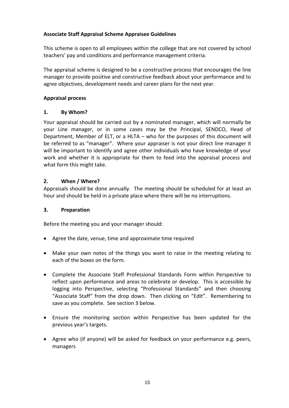## <span id="page-15-0"></span>**Associate Staff Appraisal Scheme Appraisee Guidelines**

This scheme is open to all employees within the college that are not covered by school teachers' pay and conditions and performance management criteria.

The appraisal scheme is designed to be a constructive process that encourages the line manager to provide positive and constructive feedback about your performance and to agree objectives, development needs and career plans for the next year.

## **Appraisal process**

## **1. By Whom?**

Your appraisal should be carried out by a nominated manager, which will normally be your Line manager, or in some cases may be the Principal, SENDCO, Head of Department, Member of ELT, or a HLTA – who for the purposes of this document will be referred to as "manager". Where your appraiser is not your direct line manager it will be important to identify and agree other individuals who have knowledge of your work and whether it is appropriate for them to feed into the appraisal process and what form this might take.

## **2. When / Where?**

Appraisals should be done annually. The meeting should be scheduled for at least an hour and should be held in a private place where there will be no interruptions.

#### **3. Preparation**

Before the meeting you and your manager should:

- Agree the date, venue, time and approximate time required
- Make your own notes of the things you want to raise in the meeting relating to each of the boxes on the form.
- Complete the Associate Staff Professional Standards Form within Perspective to reflect upon performance and areas to celebrate or develop. This is accessible by logging into Perspective, selecting "Professional Standards" and then choosing "Associate Staff" from the drop down. Then clicking on "Edit". Remembering to save as you complete. See section 3 below.
- Ensure the monitoring section within Perspective has been updated for the previous year's targets.
- Agree who (if anyone) will be asked for feedback on your performance e.g. peers, managers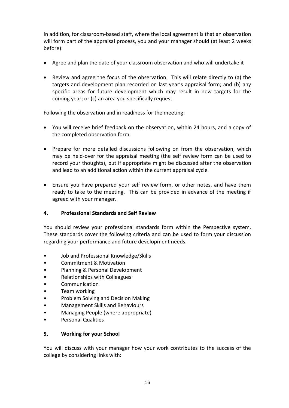In addition, for classroom-based staff, where the local agreement is that an observation will form part of the appraisal process, you and your manager should (at least 2 weeks before):

- Agree and plan the date of your classroom observation and who will undertake it
- Review and agree the focus of the observation. This will relate directly to (a) the targets and development plan recorded on last year's appraisal form; and (b) any specific areas for future development which may result in new targets for the coming year; or (c) an area you specifically request.

Following the observation and in readiness for the meeting:

- You will receive brief feedback on the observation, within 24 hours, and a copy of the completed observation form.
- Prepare for more detailed discussions following on from the observation, which may be held-over for the appraisal meeting (the self review form can be used to record your thoughts), but if appropriate might be discussed after the observation and lead to an additional action within the current appraisal cycle
- Ensure you have prepared your self review form, or other notes, and have them ready to take to the meeting. This can be provided in advance of the meeting if agreed with your manager.

## **4. Professional Standards and Self Review**

You should review your professional standards form within the Perspective system. These standards cover the following criteria and can be used to form your discussion regarding your performance and future development needs.

- Job and Professional Knowledge/Skills
- Commitment & Motivation
- Planning & Personal Development
- Relationships with Colleagues
- Communication
- Team working
- Problem Solving and Decision Making
- Management Skills and Behaviours
- Managing People (where appropriate)
- Personal Qualities

#### **5. Working for your School**

You will discuss with your manager how your work contributes to the success of the college by considering links with: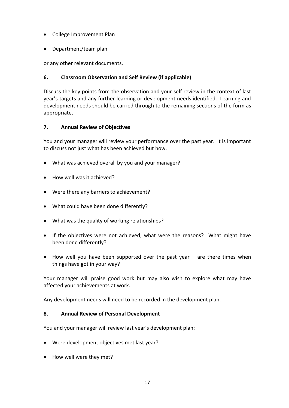- College Improvement Plan
- Department/team plan

or any other relevant documents.

## **6. Classroom Observation and Self Review (if applicable)**

Discuss the key points from the observation and your self review in the context of last year's targets and any further learning or development needs identified. Learning and development needs should be carried through to the remaining sections of the form as appropriate.

## **7. Annual Review of Objectives**

You and your manager will review your performance over the past year. It is important to discuss not just what has been achieved but how.

- What was achieved overall by you and your manager?
- How well was it achieved?
- Were there any barriers to achievement?
- What could have been done differently?
- What was the quality of working relationships?
- If the objectives were not achieved, what were the reasons? What might have been done differently?
- How well you have been supported over the past year are there times when things have got in your way?

Your manager will praise good work but may also wish to explore what may have affected your achievements at work.

Any development needs will need to be recorded in the development plan.

## **8. Annual Review of Personal Development**

You and your manager will review last year's development plan:

- Were development objectives met last year?
- How well were they met?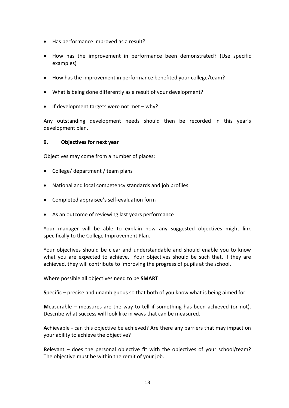- Has performance improved as a result?
- How has the improvement in performance been demonstrated? (Use specific examples)
- How has the improvement in performance benefited your college/team?
- What is being done differently as a result of your development?
- If development targets were not met why?

Any outstanding development needs should then be recorded in this year's development plan.

#### **9. Objectives for next year**

Objectives may come from a number of places:

- College/ department / team plans
- National and local competency standards and job profiles
- Completed appraisee's self-evaluation form
- As an outcome of reviewing last years performance

Your manager will be able to explain how any suggested objectives might link specifically to the College Improvement Plan.

Your objectives should be clear and understandable and should enable you to know what you are expected to achieve. Your objectives should be such that, if they are achieved, they will contribute to improving the progress of pupils at the school.

Where possible all objectives need to be **SMART**:

**S**pecific – precise and unambiguous so that both of you know what is being aimed for.

**M**easurable – measures are the way to tell if something has been achieved (or not). Describe what success will look like in ways that can be measured.

**A**chievable - can this objective be achieved? Are there any barriers that may impact on your ability to achieve the objective?

**R**elevant – does the personal objective fit with the objectives of your school/team? The objective must be within the remit of your job.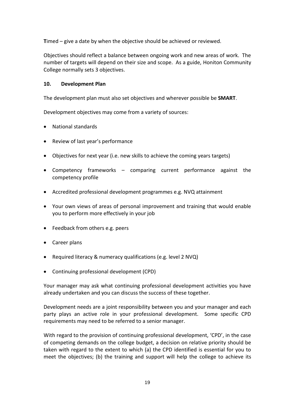**T**imed – give a date by when the objective should be achieved or reviewed.

Objectives should reflect a balance between ongoing work and new areas of work. The number of targets will depend on their size and scope. As a guide, Honiton Community College normally sets 3 objectives.

## **10. Development Plan**

The development plan must also set objectives and wherever possible be **SMART**.

Development objectives may come from a variety of sources:

- National standards
- Review of last year's performance
- Objectives for next year (i.e. new skills to achieve the coming years targets)
- Competency frameworks comparing current performance against the competency profile
- Accredited professional development programmes e.g. NVQ attainment
- Your own views of areas of personal improvement and training that would enable you to perform more effectively in your job
- Feedback from others e.g. peers
- Career plans
- Required literacy & numeracy qualifications (e.g. level 2 NVQ)
- Continuing professional development (CPD)

Your manager may ask what continuing professional development activities you have already undertaken and you can discuss the success of these together.

Development needs are a joint responsibility between you and your manager and each party plays an active role in your professional development. Some specific CPD requirements may need to be referred to a senior manager.

With regard to the provision of continuing professional development, 'CPD', in the case of competing demands on the college budget, a decision on relative priority should be taken with regard to the extent to which (a) the CPD identified is essential for you to meet the objectives; (b) the training and support will help the college to achieve its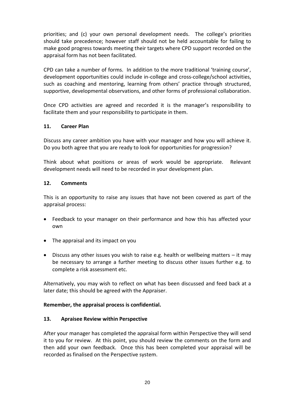priorities; and (c) your own personal development needs. The college's priorities should take precedence; however staff should not be held accountable for failing to make good progress towards meeting their targets where CPD support recorded on the appraisal form has not been facilitated.

CPD can take a number of forms. In addition to the more traditional 'training course', development opportunities could include in-college and cross-college/school activities, such as coaching and mentoring, learning from others' practice through structured, supportive, developmental observations, and other forms of professional collaboration.

Once CPD activities are agreed and recorded it is the manager's responsibility to facilitate them and your responsibility to participate in them.

#### **11. Career Plan**

Discuss any career ambition you have with your manager and how you will achieve it. Do you both agree that you are ready to look for opportunities for progression?

Think about what positions or areas of work would be appropriate. Relevant development needs will need to be recorded in your development plan.

#### **12. Comments**

This is an opportunity to raise any issues that have not been covered as part of the appraisal process:

- Feedback to your manager on their performance and how this has affected your own
- The appraisal and its impact on you
- Discuss any other issues you wish to raise e.g. health or wellbeing matters it may be necessary to arrange a further meeting to discuss other issues further e.g. to complete a risk assessment etc.

Alternatively, you may wish to reflect on what has been discussed and feed back at a later date; this should be agreed with the Appraiser.

#### **Remember, the appraisal process is confidential.**

#### **13. Apraisee Review within Perspective**

After your manager has completed the appraisal form within Perspective they will send it to you for review. At this point, you should review the comments on the form and then add your own feedback. Once this has been completed your appraisal will be recorded as finalised on the Perspective system.